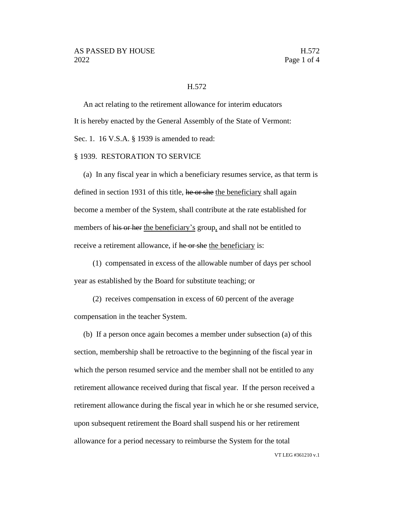## H.572

An act relating to the retirement allowance for interim educators It is hereby enacted by the General Assembly of the State of Vermont: Sec. 1. 16 V.S.A. § 1939 is amended to read:

## § 1939. RESTORATION TO SERVICE

(a) In any fiscal year in which a beneficiary resumes service, as that term is defined in section 1931 of this title, he or she the beneficiary shall again become a member of the System, shall contribute at the rate established for members of his or her the beneficiary's group, and shall not be entitled to receive a retirement allowance, if he or she the beneficiary is:

(1) compensated in excess of the allowable number of days per school year as established by the Board for substitute teaching; or

(2) receives compensation in excess of 60 percent of the average compensation in the teacher System.

(b) If a person once again becomes a member under subsection (a) of this section, membership shall be retroactive to the beginning of the fiscal year in which the person resumed service and the member shall not be entitled to any retirement allowance received during that fiscal year. If the person received a retirement allowance during the fiscal year in which he or she resumed service, upon subsequent retirement the Board shall suspend his or her retirement allowance for a period necessary to reimburse the System for the total

VT LEG #361210 v.1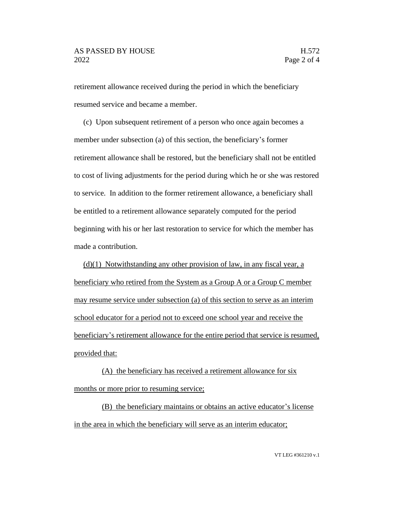retirement allowance received during the period in which the beneficiary resumed service and became a member.

(c) Upon subsequent retirement of a person who once again becomes a member under subsection (a) of this section, the beneficiary's former retirement allowance shall be restored, but the beneficiary shall not be entitled to cost of living adjustments for the period during which he or she was restored to service. In addition to the former retirement allowance, a beneficiary shall be entitled to a retirement allowance separately computed for the period beginning with his or her last restoration to service for which the member has made a contribution.

 $(d)(1)$  Notwithstanding any other provision of law, in any fiscal year, a beneficiary who retired from the System as a Group A or a Group C member may resume service under subsection (a) of this section to serve as an interim school educator for a period not to exceed one school year and receive the beneficiary's retirement allowance for the entire period that service is resumed, provided that:

(A) the beneficiary has received a retirement allowance for six months or more prior to resuming service;

(B) the beneficiary maintains or obtains an active educator's license in the area in which the beneficiary will serve as an interim educator;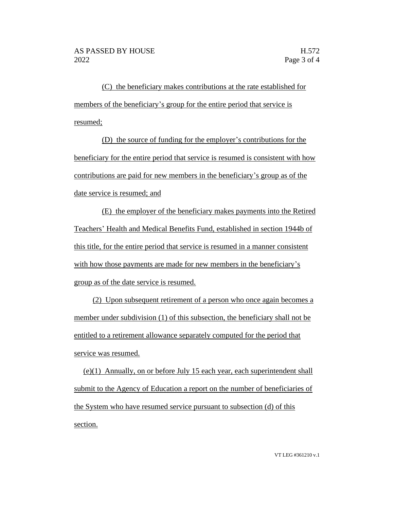(C) the beneficiary makes contributions at the rate established for members of the beneficiary's group for the entire period that service is resumed;

(D) the source of funding for the employer's contributions for the beneficiary for the entire period that service is resumed is consistent with how contributions are paid for new members in the beneficiary's group as of the date service is resumed; and

(E) the employer of the beneficiary makes payments into the Retired Teachers' Health and Medical Benefits Fund, established in section 1944b of this title, for the entire period that service is resumed in a manner consistent with how those payments are made for new members in the beneficiary's group as of the date service is resumed.

(2) Upon subsequent retirement of a person who once again becomes a member under subdivision (1) of this subsection, the beneficiary shall not be entitled to a retirement allowance separately computed for the period that service was resumed.

(e)(1) Annually, on or before July 15 each year, each superintendent shall submit to the Agency of Education a report on the number of beneficiaries of the System who have resumed service pursuant to subsection (d) of this section.